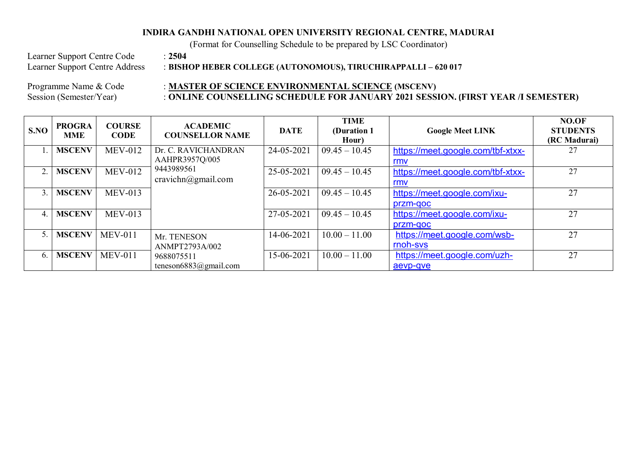## **INDIRA GANDHI NATIONAL OPEN UNIVERSITY REGIONAL CENTRE, MADURAI**

(Format for Counselling Schedule to be prepared by LSC Coordinator)

Learner Support Centre Code : **2504**<br>Learner Support Centre Address : **BISH** 

Learner Support Centre Address : **BISHOP HEBER COLLEGE (AUTONOMOUS), TIRUCHIRAPPALLI – 620 017** 

## Programme Name & Code : **MASTER OF SCIENCE ENVIRONMENTAL SCIENCE** (MSCENV) Session (Semester/Year) : **ONLINE COUNSELLING SCHEDULE FOR JANUARY 2021 SESSION. (FIRST YEAR /I SEMESTER)**

| S.NO             | <b>PROGRA</b><br><b>MME</b> | <b>COURSE</b><br><b>CODE</b> | <b>ACADEMIC</b><br><b>COUNSELLOR NAME</b> | <b>DATE</b> | <b>TIME</b><br>(Duration 1)<br>Hour) | <b>Google Meet LINK</b>                  | NO.OF<br><b>STUDENTS</b><br>(RC Madurai) |
|------------------|-----------------------------|------------------------------|-------------------------------------------|-------------|--------------------------------------|------------------------------------------|------------------------------------------|
|                  | <b>MSCENV</b>               | $MEV-012$                    | Dr. C. RAVICHANDRAN<br>AAHPR3957Q/005     | 24-05-2021  | $09.45 - 10.45$                      | https://meet.google.com/tbf-xtxx-<br>rmv | 27                                       |
| 2.               | <b>MSCENV</b>               | $MEV-012$                    | 9443989561<br>cravichn@gmail.com          | 25-05-2021  | $09.45 - 10.45$                      | https://meet.google.com/tbf-xtxx-<br>rmv | 27                                       |
| 3.               | <b>MSCENV</b>               | $MEV-013$                    |                                           | 26-05-2021  | $09.45 - 10.45$                      | https://meet.google.com/ixu-<br>przm-goc | 27                                       |
| 4                | <b>MSCENV</b>               | $MEV-013$                    |                                           | 27-05-2021  | $09.45 - 10.45$                      | https://meet.google.com/ixu-<br>przm-goc | 27                                       |
|                  | <b>MSCENV</b>               | $MEV-011$                    | Mr. TENESON<br>ANMPT2793A/002             | 14-06-2021  | $10.00 - 11.00$                      | https://meet.google.com/wsb-<br>rnoh-sys | 27                                       |
| $\mathfrak{b}$ . | <b>MSCENV</b>               | $MEV-011$                    | 9688075511<br>teneson6883@gmail.com       | 15-06-2021  | $10.00 - 11.00$                      | https://meet.google.com/uzh-<br>aevp-qve | 27                                       |